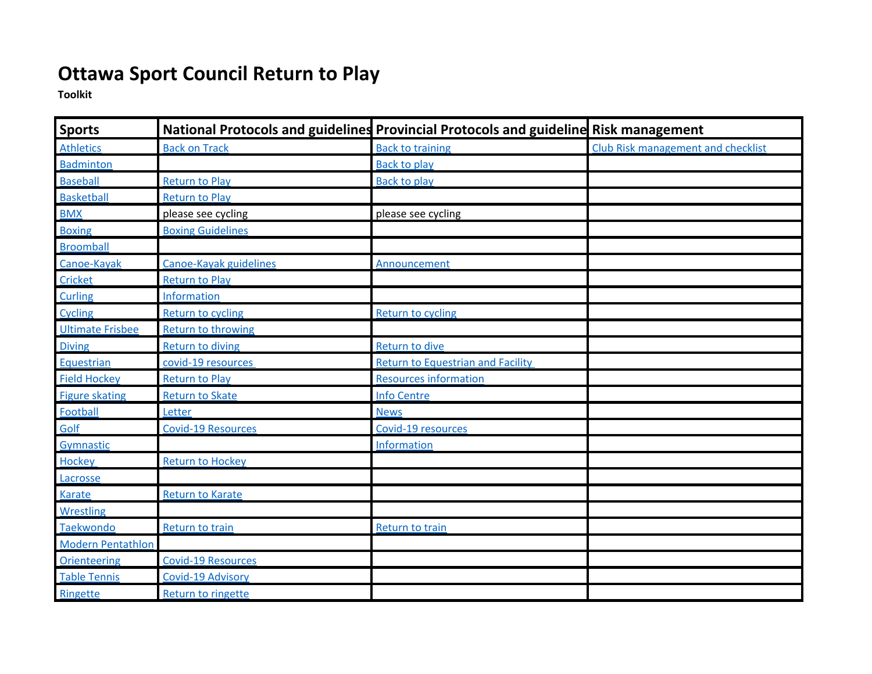## **Ottawa Sport Council Return to Play**

**Toolkit**

| <b>Sports</b>            |                           | National Protocols and guidelines Provincial Protocols and guideline Risk management |                                           |
|--------------------------|---------------------------|--------------------------------------------------------------------------------------|-------------------------------------------|
| <b>Athletics</b>         | <b>Back on Track</b>      | <b>Back to training</b>                                                              | <b>Club Risk management and checklist</b> |
| <b>Badminton</b>         |                           | <b>Back to play</b>                                                                  |                                           |
| <b>Baseball</b>          | <b>Return to Play</b>     | <b>Back to play</b>                                                                  |                                           |
| <b>Basketball</b>        | <b>Return to Play</b>     |                                                                                      |                                           |
| <b>BMX</b>               | please see cycling        | please see cycling                                                                   |                                           |
| <b>Boxing</b>            | <b>Boxing Guidelines</b>  |                                                                                      |                                           |
| <b>Broomball</b>         |                           |                                                                                      |                                           |
| Canoe-Kayak              | Canoe-Kayak guidelines    | Announcement                                                                         |                                           |
| Cricket                  | <b>Return to Play</b>     |                                                                                      |                                           |
| Curling                  | Information               |                                                                                      |                                           |
| Cycling                  | Return to cycling         | Return to cycling                                                                    |                                           |
| <b>Ultimate Frisbee</b>  | <b>Return to throwing</b> |                                                                                      |                                           |
| <b>Diving</b>            | <b>Return to diving</b>   | Return to dive                                                                       |                                           |
| Equestrian               | covid-19 resources        | <b>Return to Equestrian and Facility</b>                                             |                                           |
| <b>Field Hockey</b>      | Return to Play            | <b>Resources information</b>                                                         |                                           |
| <b>Figure skating</b>    | <b>Return to Skate</b>    | <b>Info Centre</b>                                                                   |                                           |
| Football                 | Letter                    | <b>News</b>                                                                          |                                           |
| Golf                     | <b>Covid-19 Resources</b> | Covid-19 resources                                                                   |                                           |
| Gymnastic                |                           | Information                                                                          |                                           |
| <b>Hockey</b>            | <b>Return to Hockey</b>   |                                                                                      |                                           |
| Lacrosse                 |                           |                                                                                      |                                           |
| Karate                   | <b>Return to Karate</b>   |                                                                                      |                                           |
| <b>Wrestling</b>         |                           |                                                                                      |                                           |
| Taekwondo                | Return to train           | Return to train                                                                      |                                           |
| <b>Modern Pentathlon</b> |                           |                                                                                      |                                           |
| <b>Orienteering</b>      | <b>Covid-19 Resources</b> |                                                                                      |                                           |
| <b>Table Tennis</b>      | Covid-19 Advisory         |                                                                                      |                                           |
| Ringette                 | Return to ringette        |                                                                                      |                                           |